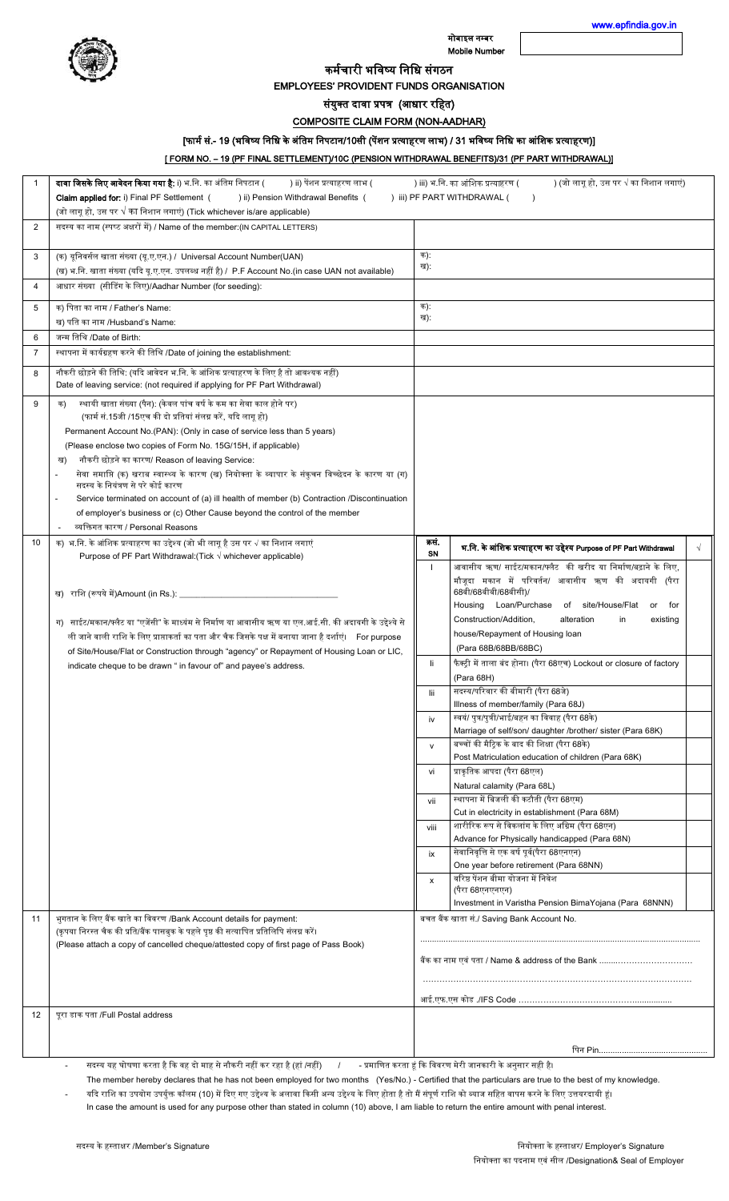

मोबाइल नम्बर Mobile Number [www.epfindia.gov.in](http://www.epfindia.gov.in/) 

कर्मचारी भविष्य विवि संगठि

EMPLOYEES' PROVIDENT FUNDS ORGANISATION

संयुक्त दावा प्रपत्र (आधार रहित)

COMPOSITE CLAIM FORM (NON-AADHAR)

[फार्म सं.- 19 (भविष्य निधि के अंतिम निपटान/10सी (पेंशन प्रत्याहरण लाभ) / 31 भविष्य निधि का आंशिक प्रत्याहरण)]

[ FORM NO. – 19 (PF FINAL SETTLEMENT)/10C (PENSION WITHDRAWAL BENEFITS)/31 (PF PART WITHDRAWAL)]

|                | दावा जिसके लिए आवेदन किया गया है: i) भ.नि. का अंतिम निपटान (<br>) ii) पेंशन प्रत्याहरण लाभ (                                                                             |            | ) iii) भ.नि. का आंशिक प्रत्याहरण (<br>) (जो लागू हो, उस पर √ का निशान लगाएं)                  |  |
|----------------|--------------------------------------------------------------------------------------------------------------------------------------------------------------------------|------------|-----------------------------------------------------------------------------------------------|--|
|                | Claim applied for: i) Final PF Settlement (<br>) ii) Pension Withdrawal Benefits (                                                                                       |            | ) iii) PF PART WITHDRAWAL (                                                                   |  |
|                | (जो लागू हो, उस पर $\sqrt{}$ का निशान लगाएं) (Tick whichever is/are applicable)                                                                                          |            |                                                                                               |  |
| 2              | सदस्य का नाम (स्पष्ट अक्षरों में) / Name of the member: (IN CAPITAL LETTERS)                                                                                             |            |                                                                                               |  |
| 3              | (क) यूनिवर्सल खाता संख्या (यू.ए.एन.) / Universal Account Number(UAN)                                                                                                     | क):        |                                                                                               |  |
|                | (ख) भ.नि. खाता संख्या (यदि यू.ए.एन. उपलब्ध नहीं है) / P.F Account No.(in case UAN not available)                                                                         | ख):        |                                                                                               |  |
| $\overline{4}$ | आधार संख्या  (सीडिंग के लिए)/Aadhar Number (for seeding):                                                                                                                |            |                                                                                               |  |
| 5              | क) पिता का नाम / Father's Name:<br>ख) पति का नाम /Husband's Name:                                                                                                        | क):<br>ख): |                                                                                               |  |
| 6              | जन्म तिथि /Date of Birth:                                                                                                                                                |            |                                                                                               |  |
| $\overline{7}$ | स्थापना में कार्यग्रहण करने की तिथि /Date of joining the establishment:                                                                                                  |            |                                                                                               |  |
| 8              | नौकरी छोड़ने की तिथि: (यदि आवेदन भ.नि. के आंशिक प्रत्याहरण के लिए है तो आवश्यक नहीं)<br>Date of leaving service: (not required if applying for PF Part Withdrawal)       |            |                                                                                               |  |
| 9              | स्थायी खाता संख्या (पैन): (केवल पांच वर्ष के कम का सेवा काल होने पर)<br>क)<br>(फार्म सं.15जी /15एच की दो प्रतियां संलग्न करें, यदि लागू हो)                              |            |                                                                                               |  |
|                | Permanent Account No. (PAN): (Only in case of service less than 5 years)<br>(Please enclose two copies of Form No. 15G/15H, if applicable)                               |            |                                                                                               |  |
|                | नौकरी छोड़ने का कारण/ Reason of leaving Service:<br>ख)                                                                                                                   |            |                                                                                               |  |
|                | सेवा समाप्ति (क) खराब स्वास्थ्य के कारण (ख) नियोक्ता के व्यापार के संकुचन विच्छेदन के कारण या (ग)<br>सदस्य के नियंत्रण से परे कोई कारण                                   |            |                                                                                               |  |
|                | Service terminated on account of (a) ill health of member (b) Contraction /Discontinuation<br>of employer's business or (c) Other Cause beyond the control of the member |            |                                                                                               |  |
|                | व्यक्तिगत कारण / Personal Reasons                                                                                                                                        |            |                                                                                               |  |
| 10             | क) भ.नि. के आंशिक प्रत्याहरण का उद्देश्य (जो भी लागू है उस पर √ का निशान लगाएं<br>Purpose of PF Part Withdrawal: (Tick $\sqrt{}$ whichever applicable)                   | कसं.<br>SN | भ.नि. के आंशिक प्रत्याहरण का उद्देश्य Purpose of PF Part Withdrawal                           |  |
|                |                                                                                                                                                                          |            | आवासीय ऋण/ साईट/मकान/फ्लैट की खरीद या निर्माण/बढ़ाने के लिए,                                  |  |
|                | ख) राशि (रूपये में)Amount (in Rs.): _______________                                                                                                                      |            | मौजूदा मकान में परिवर्तन/ आवासीय ऋण की अदायगी (पैरा<br>68बी/68बीबी/68बीसी)/                   |  |
|                |                                                                                                                                                                          |            | Housing Loan/Purchase of site/House/Flat<br>or for                                            |  |
|                | ग) साईट/मकान/फ्लैट या "एजेंसी" के माध्यंम से निर्माण या आवासीय ऋण या एल.आई.सी. की अदायगी के उद्देश्ये से                                                                 |            | Construction/Addition.<br>alteration<br>in<br>existing                                        |  |
|                | ली जाने वाली राशि के लिए प्राप्ताकर्ता का पता और चैक जिसके पक्ष में बनाया जाना है दर्शाएं। For purpose                                                                   |            | house/Repayment of Housing loan                                                               |  |
|                | of Site/House/Flat or Construction through "agency" or Repayment of Housing Loan or LIC,                                                                                 | li.        | (Para 68B/68BB/68BC)<br>फैक्ट्री में ताला बंद होना। (पैरा 68एच) Lockout or closure of factory |  |
|                | indicate cheque to be drawn " in favour of" and payee's address.                                                                                                         |            | (Para 68H)                                                                                    |  |
|                |                                                                                                                                                                          | lii        | सदस्य/परिवार की बीमारी (पैरा 68जे)                                                            |  |
|                |                                                                                                                                                                          | iv         | Illness of member/family (Para 68J)<br>स्वयं/ पुत्र/पुत्री/भाई/बहन का विवाह (पैरा 68के)       |  |
|                |                                                                                                                                                                          |            | Marriage of self/son/ daughter /brother/ sister (Para 68K)                                    |  |
|                |                                                                                                                                                                          | v          | बच्चों की मैट्रिक के बाद की शिक्षा (पैरा 68के)                                                |  |
|                |                                                                                                                                                                          |            | Post Matriculation education of children (Para 68K)                                           |  |
|                |                                                                                                                                                                          | vi         | प्राकृतिक आपदा (पैरा 68एल)                                                                    |  |
|                |                                                                                                                                                                          |            | Natural calamity (Para 68L)                                                                   |  |
|                |                                                                                                                                                                          | vii        | स्थापना में बिजली की कटौती (पैरा 68एम)<br>Cut in electricity in establishment (Para 68M)      |  |
|                |                                                                                                                                                                          | viii       | शारीरिक रूप से विकलांग के लिए अग्रिम (पैरा 68एन)                                              |  |
|                |                                                                                                                                                                          |            | Advance for Physically handicapped (Para 68N)                                                 |  |
|                |                                                                                                                                                                          | ix         | सेवानिवृत्ति से एक वर्ष पूर्व(पैरा 68एनएन)<br>One year before retirement (Para 68NN)          |  |
|                |                                                                                                                                                                          | x          | वरिष्ठ पेंशन बीमा योजना में निवेश                                                             |  |
|                |                                                                                                                                                                          |            | (पैरा 68एनएनएन)<br>Investment in Varistha Pension BimaYojana (Para 68NNN)                     |  |
| 11             | भुगतान के लिए बैंक खाते का विवरण /Bank Account details for payment:                                                                                                      |            | बचत बैंक खाता सं./ Saving Bank Account No.                                                    |  |
|                | (कृपया निरस्त चैक की प्रति/बैंक पासबुक के पहले पृष्ठ की सत्यापित प्रतिलिपि संलग्न करें।                                                                                  |            |                                                                                               |  |
|                | (Please attach a copy of cancelled cheque/attested copy of first page of Pass Book)                                                                                      |            | बैंक का नाम एवं पता / Name & address of the Bank                                              |  |
|                |                                                                                                                                                                          |            |                                                                                               |  |
|                |                                                                                                                                                                          |            | आई.एफ.एस कोड ./IFS Code …………………………………………………                                                   |  |
| 12             | पूरा डाक पता /Full Postal address                                                                                                                                        |            |                                                                                               |  |
|                |                                                                                                                                                                          |            |                                                                                               |  |
|                | सदस्य यह घोषणा करता है कि वह दो माह से नौकरी नहीं कर रहा है (हां /नहीं)<br>$\frac{1}{2}$                                                                                 |            | - प्रमाणित करता हूं कि विवरण मेरी जानकारी के अनुसार सही है।                                   |  |

The member hereby declares that he has not been employed for two months (Yes/No.) - Certified that the particulars are true to the best of my knowledge.

यदि राशि का उपयोग उपर्युक्त कॉलम (10) में दिए गए उद्देश्य के अलावा किसी अन्य उद्देश्य के लिए होता है हो मैं संपूर्ण राशि को ब्याज सहित वापस करने के लिए उत्तयरदायी हूं। In case the amount is used for any purpose other than stated in column (10) above, I am liable to return the entire amount with penal interest.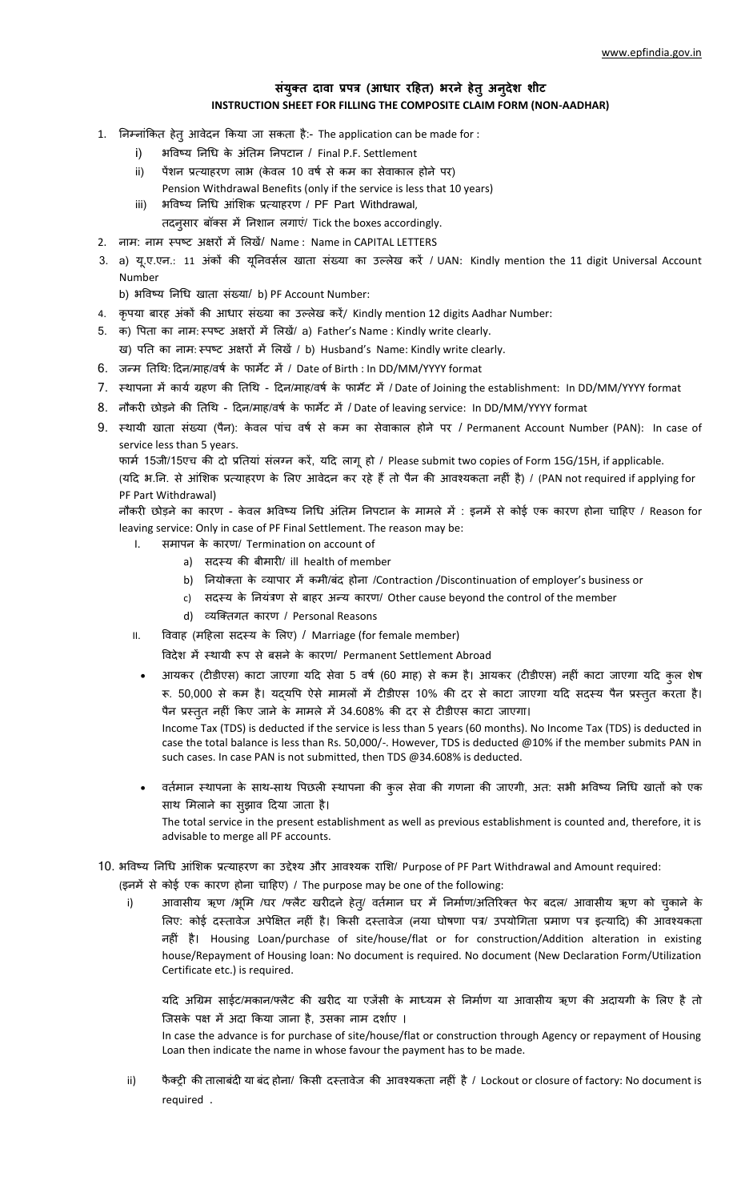## **संयुक्i दावातप्रपत्रत(आधारतरहिi)तभरने िेiुअनुदेश शीट INSTRUCTION SHEET FOR FILLING THE COMPOSITE CLAIM FORM (NON-AADHAR)**

- 1. निम्नांकित हेतु आवेदन किया जा सकता है:- The application can be made for :
	- i) भविष्य निधि के अंतिम निपटान / Final P.F. Settlement
	- ii) पेंशन प्रत्याहरण लाभ (केवल 10 वर्ष से कम का सेवाकाल होने पर) Pension Withdrawal Benefits (only if the service is less that 10 years)
	- iii) भविष्य निधि आंशिक प्रत्याहरण / PF Part Withdrawal,
	- तदनुसार बॉक्स में निशान लगाएं/ Tick the boxes accordingly.
- 2. नाम: नाम स्पष्ट अक्षरों में लिखें/ Name : Name in CAPITAL LETTERS
- 3. a) य.ए.एन.: 11 अंकों की यूनिवर्सल खाता संख्या का उल्लेख करें / UAN: Kindly mention the 11 digit Universal Account Number

b) भविष्य निधि खाता संख्या/ b) PF Account Number:

- 4. कृपया बारह अंकों की आधार संख्या का उल्लेख करें/ Kindly mention 12 digits Aadhar Number:
- 5. क) पिता का नाम: स्पष्ट अक्षरों में लिखें/ a) Father's Name : Kindly write clearly.
- ख) पति का नाम: स्पष्ट अक्षरों में लिखें / b) Husband's Name: Kindly write clearly.
- 6. जन्म तिथि: दिन/माह/वर्ष के फार्मेट में / Date of Birth : In DD/MM/YYYY format
- 7. स्थापना में कार्य ग्रहण की तिथि दिन/माह/वर्ष के फार्मेट में / Date of Joining the establishment: In DD/MM/YYYY format
- 8. नौकरी छोड़ने की तिथि दिन/माह/वर्ष के फार्मेट में / Date of leaving service: In DD/MM/YYYY format
- 9. स्थायी खाता संख्या (पैन): केवल पांच वर्ष से कम का सेवाकाल होने पर / Permanent Account Number (PAN): In case of service less than 5 years.

फार्म 15जी/15एच की दो प्रतियां संलग्न करें, यदि लाग हो / Please submit two copies of Form 15G/15H, if applicable.

(यदि भ.नि. से आंशिक प्रत्याहरण के लिए आवेदन कर रहे हैं तो पैन की आवश्यकता नहीं है) / (PAN not required if applying for PF Part Withdrawal)

नौकरी छोड़ने का कारण - केवल भविष्य निधि अंतिम निपटान के मामले में : इनमें से कोई एक कारण होना चाहिए / Reason for leaving service: Only in case of PF Final Settlement. The reason may be:

- I. समापन के कारण/ Termination on account of
	- a) सदस्य की बीमारी/ ill health of member
	- b) नियोक्ता के व्यापार में कमी/बंद होना /Contraction /Discontinuation of employer's business or
	- c) सदस्य के नियंत्रण से बाहर अन्य कारण/ Other cause beyond the control of the member
	- d) व्यक्तिगत कारण / Personal Reasons
- II. विवाह (महिला सदस्य के लिए) / Marriage (for female member)

विदेश में स्थायी रूप से बसने के कारण/ Permanent Settlement Abroad

आयकर (टीडीएस) काटा जाएगा यदि सेवा 5 वर्ष (60 माह) से कम है। आयकर (टीडीएस) नहीं काटा जाएगा यदि कुल शेष रू. 50,000 से कम है। यद्यपि ऐसे मामलों में टीडीएस 10% की दर से काटा जाएगा यदि सदस्य पैन प्रस्तुत करता है। पैन प्रस्तुत नहीं किए जाने के मामले में 34.608% की दर से टीडीएस काटा जाएगा।

Income Tax (TDS) is deducted if the service is less than 5 years (60 months). No Income Tax (TDS) is deducted in case the total balance is less than Rs. 50,000/-. However, TDS is deducted @10% if the member submits PAN in such cases. In case PAN is not submitted, then TDS @34.608% is deducted.

- वर्तमान स्थापना के साथ-साथ पिछली स्थापना की कुल सेवा की गणना की जाएगी, अत: सभी भविष्य निधि खातों को एक साथ मिलाने का सुझाव दिया जाता है। The total service in the present establishment as well as previous establishment is counted and, therefore, it is advisable to merge all PF accounts.
- 10. भविष्य निधि आंशिक प्रत्याहरण का उद्देश्य और आवश्यक राशि/ Purpose of PF Part Withdrawal and Amount required:

(इनमें से कोई एक कारण होना चाहिए) / The purpose may be one of the following:

i) अावासीय ऋण /भूमि /घर /फ्लैट खरीदने हेत्/ वर्तमान घर में निर्माण/अतिरिक्त फेर बदल/ आवासीय ऋण को चुकाने के लिए: कोई दस्तावेज अपेक्षित नहीं है। किसी दस्तावेज (नया घोषणा पत्र/ उपयोगिता प्रमाण पत्र इत्यादि) की आवश्यकता नहीं है। Housing Loan/purchase of site/house/flat or for construction/Addition alteration in existing house/Repayment of Housing loan: No document is required. No document (New Declaration Form/Utilization Certificate etc.) is required.

यदि अग्रिम साईट/मकान/फ्लैट की खरीद या एजेंसी के माध्यम से निर्माण या आवासीय ऋण की अदायगी के लिए है तो जिसके पक्ष में अदा किया जाना है, उसका नाम दर्शाए ।

In case the advance is for purchase of site/house/flat or construction through Agency or repayment of Housing Loan then indicate the name in whose favour the payment has to be made.

ii) फैक्ट्री की तालाबंदी या बंद होना/ किसी दस्तावेज की आवश्यकता नहीं है / Lockout or closure of factory: No document is required.